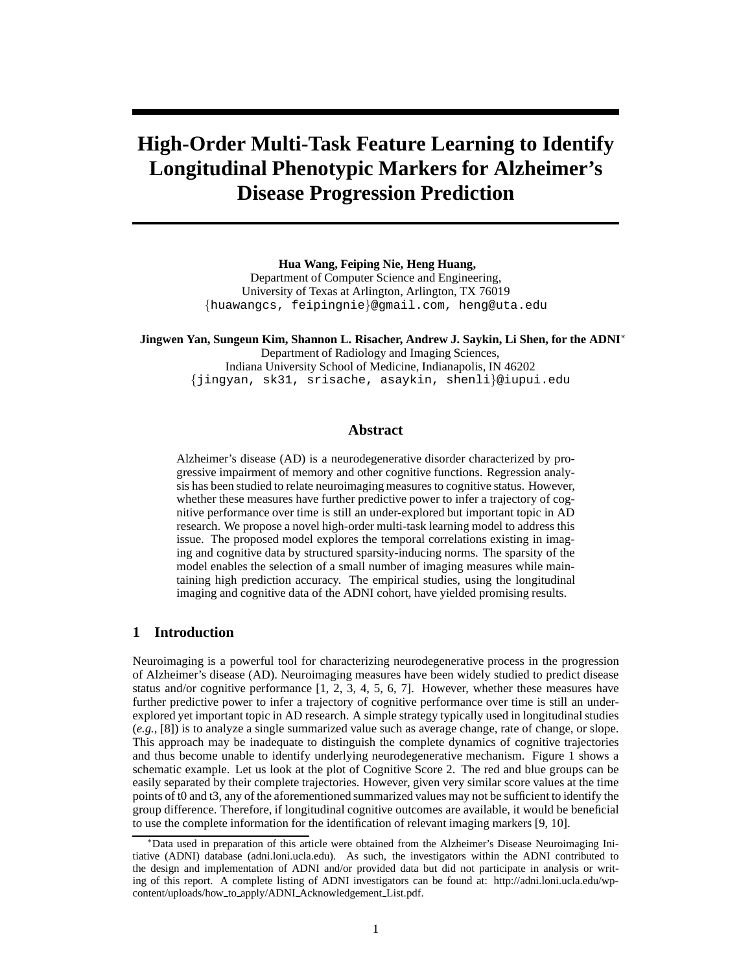# **High-Order Multi-Task Feature Learning to Identify Longitudinal Phenotypic Markers for Alzheimer's Disease Progression Prediction**

**Hua Wang, Feiping Nie, Heng Huang,** Department of Computer Science and Engineering, University of Texas at Arlington, Arlington, TX 76019 {huawangcs, feipingnie}@gmail.com, heng@uta.edu

**Jingwen Yan, Sungeun Kim, Shannon L. Risacher, Andrew J. Saykin, Li Shen, for the ADNI**<sup>∗</sup> Department of Radiology and Imaging Sciences, Indiana University School of Medicine, Indianapolis, IN 46202 {jingyan, sk31, srisache, asaykin, shenli}@iupui.edu

# **Abstract**

Alzheimer's disease (AD) is a neurodegenerative disorder characterized by progressive impairment of memory and other cognitive functions. Regression analysis has been studied to relate neuroimaging measures to cognitive status. However, whether these measures have further predictive power to infer a trajectory of cognitive performance over time is still an under-explored but important topic in AD research. We propose a novel high-order multi-task learning model to address this issue. The proposed model explores the temporal correlations existing in imaging and cognitive data by structured sparsity-inducing norms. The sparsity of the model enables the selection of a small number of imaging measures while maintaining high prediction accuracy. The empirical studies, using the longitudinal imaging and cognitive data of the ADNI cohort, have yielded promising results.

# **1 Introduction**

Neuroimaging is a powerful tool for characterizing neurodegenerative process in the progression of Alzheimer's disease (AD). Neuroimaging measures have been widely studied to predict disease status and/or cognitive performance [1, 2, 3, 4, 5, 6, 7]. However, whether these measures have further predictive power to infer a trajectory of cognitive performance over time is still an underexplored yet important topic in AD research. A simple strategy typically used in longitudinal studies (*e.g.*, [8]) is to analyze a single summarized value such as average change, rate of change, or slope. This approach may be inadequate to distinguish the complete dynamics of cognitive trajectories and thus become unable to identify underlying neurodegenerative mechanism. Figure 1 shows a schematic example. Let us look at the plot of Cognitive Score 2. The red and blue groups can be easily separated by their complete trajectories. However, given very similar score values at the time points of t0 and t3, any of the aforementioned summarized values may not be sufficient to identify the group difference. Therefore, if longitudinal cognitive outcomes are available, it would be beneficial to use the complete information for the identification of relevant imaging markers [9, 10].

<sup>∗</sup>Data used in preparation of this article were obtained from the Alzheimer's Disease Neuroimaging Initiative (ADNI) database (adni.loni.ucla.edu). As such, the investigators within the ADNI contributed to the design and implementation of ADNI and/or provided data but did not participate in analysis or writing of this report. A complete listing of ADNI investigators can be found at: http://adni.loni.ucla.edu/wpcontent/uploads/how to apply/ADNI Acknowledgement List.pdf.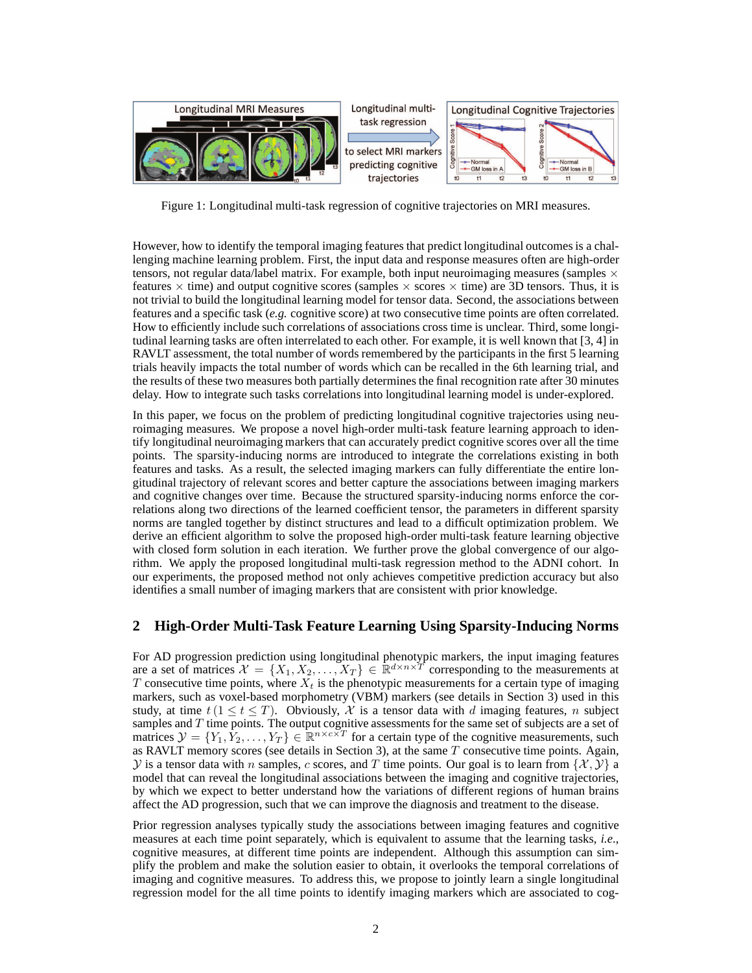

Figure 1: Longitudinal multi-task regression of cognitive trajectories on MRI measures.

However, how to identify the temporal imaging features that predict longitudinal outcomes is a challenging machine learning problem. First, the input data and response measures often are high-order tensors, not regular data/label matrix. For example, both input neuroimaging measures (samples  $\times$ features  $\times$  time) and output cognitive scores (samples  $\times$  scores  $\times$  time) are 3D tensors. Thus, it is not trivial to build the longitudinal learning model for tensor data. Second, the associations between features and a specific task (*e.g.* cognitive score) at two consecutive time points are often correlated. How to efficiently include such correlations of associations cross time is unclear. Third, some longitudinal learning tasks are often interrelated to each other. For example, it is well known that [3, 4] in RAVLT assessment, the total number of words remembered by the participants in the first 5 learning trials heavily impacts the total number of words which can be recalled in the 6th learning trial, and the results of these two measures both partially determines the final recognition rate after 30 minutes delay. How to integrate such tasks correlations into longitudinal learning model is under-explored.

In this paper, we focus on the problem of predicting longitudinal cognitive trajectories using neuroimaging measures. We propose a novel high-order multi-task feature learning approach to identify longitudinal neuroimaging markers that can accurately predict cognitive scores over all the time points. The sparsity-inducing norms are introduced to integrate the correlations existing in both features and tasks. As a result, the selected imaging markers can fully differentiate the entire longitudinal trajectory of relevant scores and better capture the associations between imaging markers and cognitive changes over time. Because the structured sparsity-inducing norms enforce the correlations along two directions of the learned coefficient tensor, the parameters in different sparsity norms are tangled together by distinct structures and lead to a difficult optimization problem. We derive an efficient algorithm to solve the proposed high-order multi-task feature learning objective with closed form solution in each iteration. We further prove the global convergence of our algorithm. We apply the proposed longitudinal multi-task regression method to the ADNI cohort. In our experiments, the proposed method not only achieves competitive prediction accuracy but also identifies a small number of imaging markers that are consistent with prior knowledge.

# **2 High-Order Multi-Task Feature Learning Using Sparsity-Inducing Norms**

For AD progression prediction using longitudinal phenotypic markers, the input imaging features are a set of matrices  $\mathcal{X} = \{X_1, X_2, \ldots, X_T\} \in \mathbb{R}^{d \times n \times T}$  corresponding to the measurements at T consecutive time points, where  $X_t$  is the phenotypic measurements for a certain type of imaging markers, such as voxel-based morphometry (VBM) markers (see details in Section 3) used in this study, at time  $t$  ( $1 \le t \le T$ ). Obviously, X is a tensor data with d imaging features, n subject samples and  $T$  time points. The output cognitive assessments for the same set of subjects are a set of matrices  $\mathcal{Y} = \{Y_1, Y_2, \dots, Y_T\} \in \mathbb{R}^{n \times c \times T}$  for a certain type of the cognitive measurements, such as RAVLT memory scores (see details in Section 3), at the same T consecutive time points. Again,  $\mathcal Y$  is a tensor data with n samples, c scores, and T time points. Our goal is to learn from  $\{\mathcal X, \mathcal Y\}$  a model that can reveal the longitudinal associations between the imaging and cognitive trajectories, by which we expect to better understand how the variations of different regions of human brains affect the AD progression, such that we can improve the diagnosis and treatment to the disease.

Prior regression analyses typically study the associations between imaging features and cognitive measures at each time point separately, which is equivalent to assume that the learning tasks, *i.e*., cognitive measures, at different time points are independent. Although this assumption can simplify the problem and make the solution easier to obtain, it overlooks the temporal correlations of imaging and cognitive measures. To address this, we propose to jointly learn a single longitudinal regression model for the all time points to identify imaging markers which are associated to cog-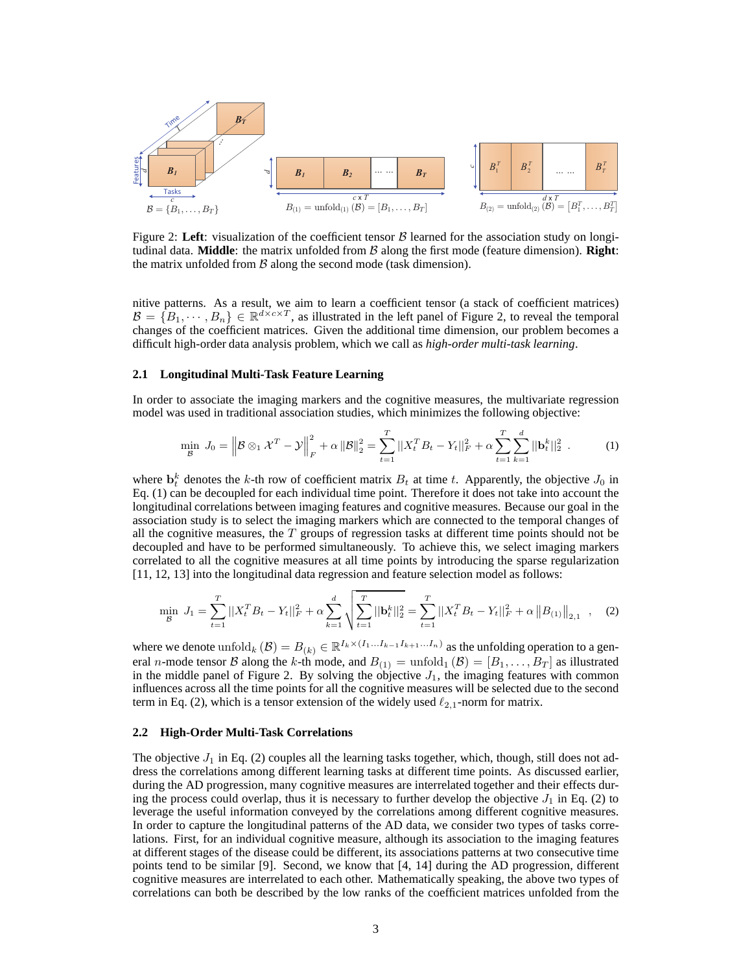

Figure 2: Left: visualization of the coefficient tensor  $\beta$  learned for the association study on longitudinal data. **Middle**: the matrix unfolded from B along the first mode (feature dimension). **Right**: the matrix unfolded from  $\beta$  along the second mode (task dimension).

nitive patterns. As a result, we aim to learn a coefficient tensor (a stack of coefficient matrices)  $B = \{B_1, \dots, B_n\} \in \mathbb{R}^{d \times c \times T}$ , as illustrated in the left panel of Figure 2, to reveal the temporal changes of the coefficient matrices. Given the additional time dimension, our problem becomes a difficult high-order data analysis problem, which we call as *high-order multi-task learning*.

#### **2.1 Longitudinal Multi-Task Feature Learning**

In order to associate the imaging markers and the cognitive measures, the multivariate regression model was used in traditional association studies, which minimizes the following objective:

$$
\min_{\mathcal{B}} J_0 = \left\| \mathcal{B} \otimes_1 \mathcal{X}^T - \mathcal{Y} \right\|_F^2 + \alpha \left\| \mathcal{B} \right\|_2^2 = \sum_{t=1}^T \left\| X_t^T B_t - Y_t \right\|_F^2 + \alpha \sum_{t=1}^T \sum_{k=1}^d \left\| \mathbf{b}_t^k \right\|_2^2 \tag{1}
$$

where  $\mathbf{b}_t^k$  denotes the k-th row of coefficient matrix  $B_t$  at time t. Apparently, the objective  $J_0$  in Eq. (1) can be decoupled for each individual time point. Therefore it does not take into account the longitudinal correlations between imaging features and cognitive measures. Because our goal in the association study is to select the imaging markers which are connected to the temporal changes of all the cognitive measures, the  $T$  groups of regression tasks at different time points should not be decoupled and have to be performed simultaneously. To achieve this, we select imaging markers correlated to all the cognitive measures at all time points by introducing the sparse regularization [11, 12, 13] into the longitudinal data regression and feature selection model as follows:

$$
\min_{\mathcal{B}} J_1 = \sum_{t=1}^T ||X_t^T B_t - Y_t||_F^2 + \alpha \sum_{k=1}^d \sqrt{\sum_{t=1}^T ||\mathbf{b}_t^k||_2^2} = \sum_{t=1}^T ||X_t^T B_t - Y_t||_F^2 + \alpha ||B_{(1)}||_{2,1} \quad , \quad (2)
$$

where we denote  $\text{unfold}_k(\mathcal{B}) = B_{(k)} \in \mathbb{R}^{I_k \times (I_1 \dots I_{k-1} I_{k+1} \dots I_n)}$  as the unfolding operation to a general *n*-mode tensor B along the k-th mode, and  $B_{(1)} = \text{unfold}_1(\mathcal{B}) = [B_1, \ldots, B_T]$  as illustrated in the middle panel of Figure 2. By solving the objective  $J_1$ , the imaging features with common influences across all the time points for all the cognitive measures will be selected due to the second term in Eq. (2), which is a tensor extension of the widely used  $\ell_{2,1}$ -norm for matrix.

## **2.2 High-Order Multi-Task Correlations**

The objective  $J_1$  in Eq. (2) couples all the learning tasks together, which, though, still does not address the correlations among different learning tasks at different time points. As discussed earlier, during the AD progression, many cognitive measures are interrelated together and their effects during the process could overlap, thus it is necessary to further develop the objective  $J_1$  in Eq. (2) to leverage the useful information conveyed by the correlations among different cognitive measures. In order to capture the longitudinal patterns of the AD data, we consider two types of tasks correlations. First, for an individual cognitive measure, although its association to the imaging features at different stages of the disease could be different, its associations patterns at two consecutive time points tend to be similar [9]. Second, we know that [4, 14] during the AD progression, different cognitive measures are interrelated to each other. Mathematically speaking, the above two types of correlations can both be described by the low ranks of the coefficient matrices unfolded from the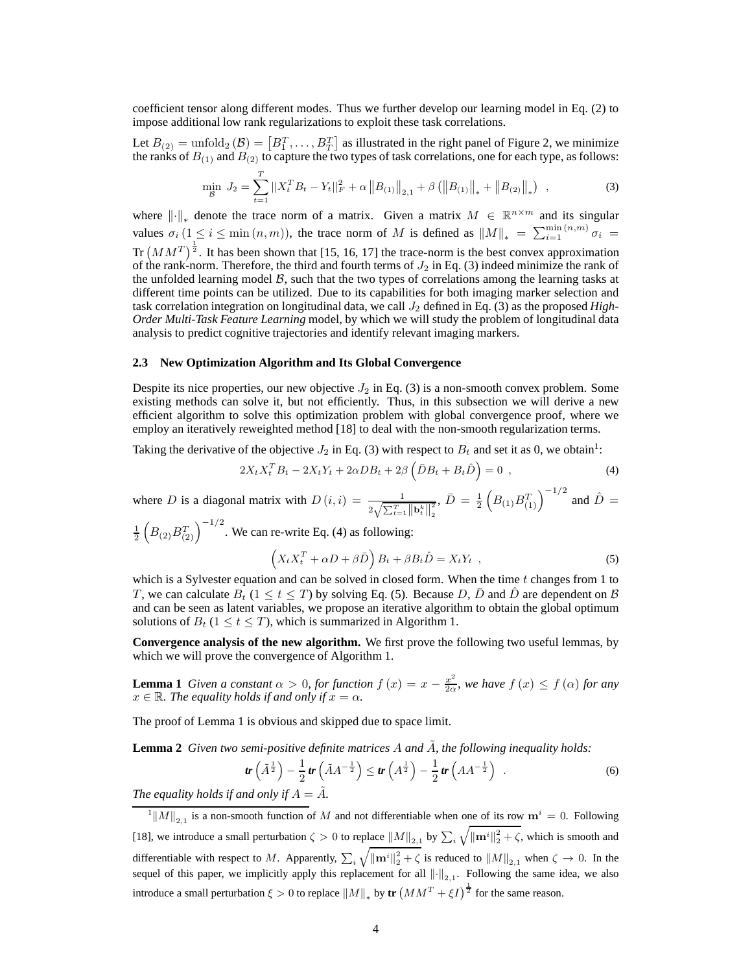coefficient tensor along different modes. Thus we further develop our learning model in Eq. (2) to impose additional low rank regularizations to exploit these task correlations.

Let  $B_{(2)} = \text{unfold}_2(\mathcal{B}) = [B_1^T, \dots, B_T^T]$  as illustrated in the right panel of Figure 2, we minimize the ranks of  $B_{(1)}$  and  $B_{(2)}$  to capture the two types of task correlations, one for each type, as follows:

$$
\min_{\mathcal{B}} J_2 = \sum_{t=1}^T ||X_t^T B_t - Y_t||_F^2 + \alpha ||B_{(1)}||_{2,1} + \beta (||B_{(1)}||_* + ||B_{(2)}||_*) \quad , \tag{3}
$$

where  $\|\cdot\|_*$  denote the trace norm of a matrix. Given a matrix  $M \in \mathbb{R}^{n \times m}$  and its singular values  $\sigma_i$  (1 ≤ i ≤ min  $(n,m)$ ), the trace norm of M is defined as  $||M||_* = \sum_{i=1}^{\min(n,m)} \sigma_i$ Tr  $(MM^T)^{\frac{1}{2}}$ . It has been shown that [15, 16, 17] the trace-norm is the best convex approximation of the rank-norm. Therefore, the third and fourth terms of  $J_2$  in Eq. (3) indeed minimize the rank of the unfolded learning model  $\beta$ , such that the two types of correlations among the learning tasks at different time points can be utilized. Due to its capabilities for both imaging marker selection and task correlation integration on longitudinal data, we call J<sup>2</sup> defined in Eq. (3) as the proposed *High-Order Multi-Task Feature Learning* model, by which we will study the problem of longitudinal data analysis to predict cognitive trajectories and identify relevant imaging markers.

## **2.3 New Optimization Algorithm and Its Global Convergence**

Despite its nice properties, our new objective  $J_2$  in Eq. (3) is a non-smooth convex problem. Some existing methods can solve it, but not efficiently. Thus, in this subsection we will derive a new efficient algorithm to solve this optimization problem with global convergence proof, where we employ an iteratively reweighted method [18] to deal with the non-smooth regularization terms.

Taking the derivative of the objective  $J_2$  in Eq. (3) with respect to  $B_t$  and set it as 0, we obtain<sup>1</sup>:

$$
2X_t X_t^T B_t - 2X_t Y_t + 2\alpha DB_t + 2\beta \left(\bar{D}B_t + B_t \hat{D}\right) = 0 \tag{4}
$$

where D is a diagonal matrix with  $D(i, i) = \frac{1}{2\sqrt{\sum_{t=1}^{T} ||\mathbf{b}_{t}^{k}||_{2}^{2}}}$ 2 ,  $\bar{D} = \frac{1}{2} \left( B_{(1)} B_{(1)}^T \right)^{-1/2}$  and  $\hat{D} =$ 

 $\frac{1}{2}\left(B_{(2)}B_{(2)}^T\right)^{-1/2}$ . We can re-write Eq. (4) as following:

$$
\left(X_t X_t^T + \alpha D + \beta \bar{D}\right) B_t + \beta B_t \hat{D} = X_t Y_t \t , \t\t(5)
$$

which is a Sylvester equation and can be solved in closed form. When the time  $t$  changes from 1 to T, we can calculate  $B_t$  ( $1 \le t \le T$ ) by solving Eq. (5). Because D,  $\bar{D}$  and  $\hat{D}$  are dependent on B and can be seen as latent variables, we propose an iterative algorithm to obtain the global optimum solutions of  $B_t$  ( $1 \le t \le T$ ), which is summarized in Algorithm 1.

**Convergence analysis of the new algorithm.** We first prove the following two useful lemmas, by which we will prove the convergence of Algorithm 1.

**Lemma 1** *Given a constant*  $\alpha > 0$ *, for function*  $f(x) = x - \frac{x^2}{20}$  $\frac{x^2}{2\alpha}$ , we have  $f(x) \leq f(\alpha)$  for any  $x \in \mathbb{R}$ *. The equality holds if and only if*  $x = \alpha$ *.* 

The proof of Lemma 1 is obvious and skipped due to space limit.

**Lemma 2** *Given two semi-positive definite matrices A and A, the following inequality holds:* 

$$
tr\left(\tilde{A}^{\frac{1}{2}}\right) - \frac{1}{2}tr\left(\tilde{A}A^{-\frac{1}{2}}\right) \leq tr\left(A^{\frac{1}{2}}\right) - \frac{1}{2}tr\left(AA^{-\frac{1}{2}}\right) \tag{6}
$$

*The equality holds if and only if*  $A = A$ *.* 

 $\|M\|_{2,1}$  is a non-smooth function of M and not differentiable when one of its row  $m^i = 0$ . Following [18], we introduce a small perturbation  $\zeta > 0$  to replace  $||M||_{2,1}$  by  $\sum_i \sqrt{||\mathbf{m}^i||_2^2 + \zeta}$ , which is smooth and differentiable with respect to M. Apparently,  $\sum_i \sqrt{\|\mathbf{m}^i\|_2^2 + \zeta}$  is reduced to  $||M||_{2,1}$  when  $\zeta \to 0$ . In the sequel of this paper, we implicitly apply this replacement for all  $\left\|\cdot\right\|_{2,1}$ . Following the same idea, we also introduce a small perturbation  $\xi > 0$  to replace  $||M||_*$  by  $tr(MM^T + \xi I)^{\frac{1}{2}}$  for the same reason.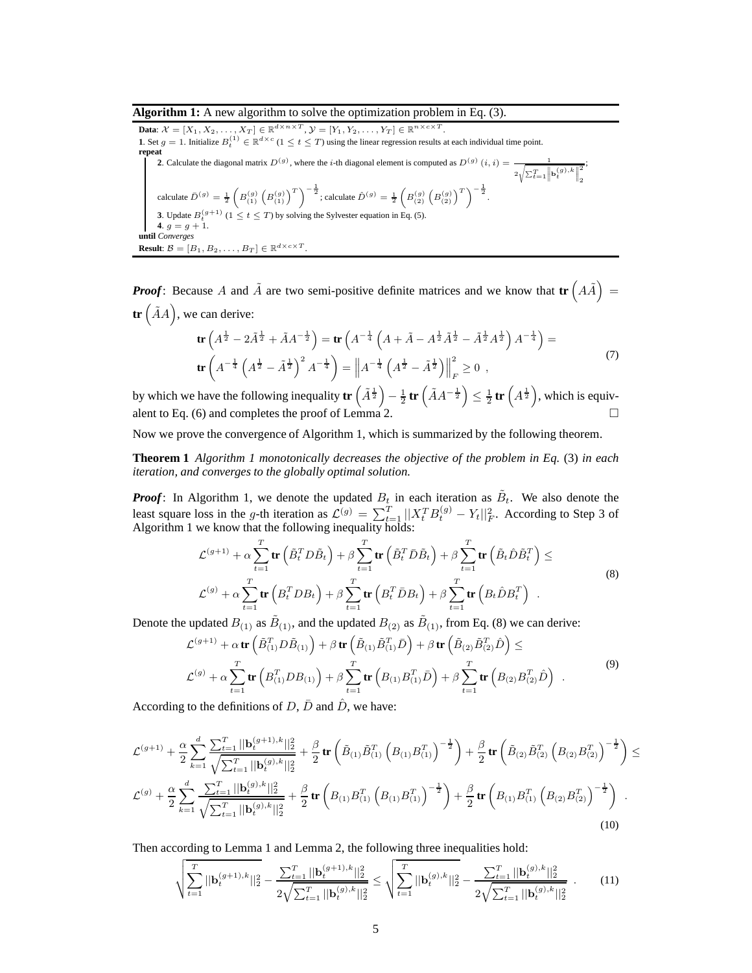#### **Algorithm 1:** A new algorithm to solve the optimization problem in Eq. (3).

**Data:**  $\mathcal{X} = [X_1, X_2, \dots, X_T] \in \mathbb{R}^{d \times n \times T}, \mathcal{Y} = [Y_1, Y_2, \dots, Y_T] \in \mathbb{R}^{n \times c \times T}.$ **1**. Set  $g = 1$ . Initialize  $B_t^{(1)} \in \mathbb{R}^{d \times c}$  ( $1 \le t \le T$ ) using the linear regression results at each individual time point. **repeat 2.** Calculate the diagonal matrix  $D^{(g)}$ , where the *i*-th diagonal element is computed as  $D^{(g)}(i, i) = \frac{1}{\sqrt{2\pi}}$  $2\sqrt{\sum_{t=1}^{T} \left\| \mathbf{b}_t^{(g),k} \right\|}$ 2 2 ; calculate  $\bar{D}^{(g)} = \frac{1}{2} \left( B_{(1)}^{(g)} \left( B_{(1)}^{(g)} \right)^T \right)^{-\frac{1}{2}}$ ; calculate  $\hat{D}^{(g)} = \frac{1}{2} \left( B_{(2)}^{(g)} \left( B_{(2)}^{(g)} \right)^T \right)^{-\frac{1}{2}}$ . **3**. Update  $B_t^{(g+1)}$  ( $1 \le t \le T$ ) by solving the Sylvester equation in Eq. (5). **4**.  $g = g + 1$ . **until** *Converges* **Result**:  $\mathcal{B} = [B_1, B_2, \dots, B_T] \in \mathbb{R}^{d \times c \times T}$ .

*Proof***:** Because A and  $\tilde{A}$  are two semi-positive definite matrices and we know that  $tr(A\tilde{A})$  = **tr**  $(\tilde{A}A)$ , we can derive:

$$
\mathbf{tr}\left(A^{\frac{1}{2}} - 2\tilde{A}^{\frac{1}{2}} + \tilde{A}A^{-\frac{1}{2}}\right) = \mathbf{tr}\left(A^{-\frac{1}{4}}\left(A + \tilde{A} - A^{\frac{1}{2}}\tilde{A}^{\frac{1}{2}} - \tilde{A}^{\frac{1}{2}}A^{\frac{1}{2}}\right)A^{-\frac{1}{4}}\right) = \mathbf{tr}\left(A^{-\frac{1}{4}}\left(A^{\frac{1}{2}} - \tilde{A}^{\frac{1}{2}}\right)^{2}A^{-\frac{1}{4}}\right) = \left\|A^{-\frac{1}{4}}\left(A^{\frac{1}{2}} - \tilde{A}^{\frac{1}{2}}\right)\right\|_{F}^{2} \ge 0,
$$
\n(7)

by which we have the following inequality  $\mathbf{tr}\left(\tilde{A}^{\frac{1}{2}}\right)-\frac{1}{2}\mathbf{tr}\left(\tilde{A}A^{-\frac{1}{2}}\right)\leq\frac{1}{2}\mathbf{tr}\left(A^{\frac{1}{2}}\right)$ , which is equivalent to Eq. (6) and completes the proof of Lemma 2.

Now we prove the convergence of Algorithm 1, which is summarized by the following theorem.

**Theorem 1** *Algorithm 1 monotonically decreases the objective of the problem in Eq.* (3) *in each iteration, and converges to the globally optimal solution.*

*Proof*: In Algorithm 1, we denote the updated  $B_t$  in each iteration as  $\tilde{B}_t$ . We also denote the least square loss in the g-th iteration as  $\mathcal{L}^{(g)} = \sum_{t=1}^{T} ||X_t^T B_t^{(g)} - Y_t||_F^2$ . According to Step 3 of Algorithm 1 we know that the following inequality holds:

$$
\mathcal{L}^{(g+1)} + \alpha \sum_{t=1}^{T} \text{tr} \left( \tilde{B}_{t}^{T} D \tilde{B}_{t} \right) + \beta \sum_{t=1}^{T} \text{tr} \left( \tilde{B}_{t}^{T} \bar{D} \tilde{B}_{t} \right) + \beta \sum_{t=1}^{T} \text{tr} \left( \tilde{B}_{t} \hat{D} \tilde{B}_{t}^{T} \right) \leq
$$
\n
$$
\mathcal{L}^{(g)} + \alpha \sum_{t=1}^{T} \text{tr} \left( B_{t}^{T} D B_{t} \right) + \beta \sum_{t=1}^{T} \text{tr} \left( B_{t}^{T} \bar{D} B_{t} \right) + \beta \sum_{t=1}^{T} \text{tr} \left( B_{t} \hat{D} B_{t}^{T} \right) .
$$
\n(8)

Denote the updated  $B_{(1)}$  as  $\tilde{B}_{(1)}$ , and the updated  $B_{(2)}$  as  $\tilde{B}_{(1)}$ , from Eq. (8) we can derive:

$$
\mathcal{L}^{(g+1)} + \alpha \operatorname{tr} \left( \tilde{B}_{(1)}^T D \tilde{B}_{(1)} \right) + \beta \operatorname{tr} \left( \tilde{B}_{(1)} \tilde{B}_{(1)}^T \bar{D} \right) + \beta \operatorname{tr} \left( \tilde{B}_{(2)} \tilde{B}_{(2)}^T \hat{D} \right) \le
$$
\n
$$
\mathcal{L}^{(g)} + \alpha \sum_{t=1}^T \operatorname{tr} \left( B_{(1)}^T D B_{(1)} \right) + \beta \sum_{t=1}^T \operatorname{tr} \left( B_{(1)} B_{(1)}^T \bar{D} \right) + \beta \sum_{t=1}^T \operatorname{tr} \left( B_{(2)} B_{(2)}^T \hat{D} \right) .
$$
\n(9)

According to the definitions of  $D$ ,  $\bar{D}$  and  $\bar{D}$ , we have:

$$
\mathcal{L}^{(g+1)} + \frac{\alpha}{2} \sum_{k=1}^{d} \frac{\sum_{t=1}^{T} ||\mathbf{b}_{t}^{(g+1),k}||_{2}^{2}}{\sqrt{\sum_{t=1}^{T} ||\mathbf{b}_{t}^{(g),k}||_{2}^{2}}} + \frac{\beta}{2} \mathbf{tr} \left( \tilde{B}_{(1)} \tilde{B}_{(1)}^{T} \left( B_{(1)} B_{(1)}^{T} \right)^{-\frac{1}{2}} \right) + \frac{\beta}{2} \mathbf{tr} \left( \tilde{B}_{(2)} \tilde{B}_{(2)}^{T} \left( B_{(2)} B_{(2)}^{T} \right)^{-\frac{1}{2}} \right) \leq
$$
\n
$$
\mathcal{L}^{(g)} + \frac{\alpha}{2} \sum_{k=1}^{d} \frac{\sum_{t=1}^{T} ||\mathbf{b}_{t}^{(g),k}||_{2}^{2}}{\sqrt{\sum_{t=1}^{T} ||\mathbf{b}_{t}^{(g),k}||_{2}^{2}}} + \frac{\beta}{2} \mathbf{tr} \left( B_{(1)} B_{(1)}^{T} \left( B_{(1)} B_{(1)}^{T} \right)^{-\frac{1}{2}} \right) + \frac{\beta}{2} \mathbf{tr} \left( B_{(1)} B_{(1)}^{T} \left( B_{(2)} B_{(2)}^{T} \right)^{-\frac{1}{2}} \right) .
$$
\n(10)

Then according to Lemma 1 and Lemma 2, the following three inequalities hold:

$$
\sqrt{\sum_{t=1}^{T} ||\mathbf{b}_{t}^{(g+1),k}||_{2}^{2}} - \frac{\sum_{t=1}^{T} ||\mathbf{b}_{t}^{(g+1),k}||_{2}^{2}}{2\sqrt{\sum_{t=1}^{T} ||\mathbf{b}_{t}^{(g),k}||_{2}^{2}}} \le \sqrt{\sum_{t=1}^{T} ||\mathbf{b}_{t}^{(g),k}||_{2}^{2}} - \frac{\sum_{t=1}^{T} ||\mathbf{b}_{t}^{(g),k}||_{2}^{2}}{2\sqrt{\sum_{t=1}^{T} ||\mathbf{b}_{t}^{(g),k}||_{2}^{2}}} \quad . \tag{11}
$$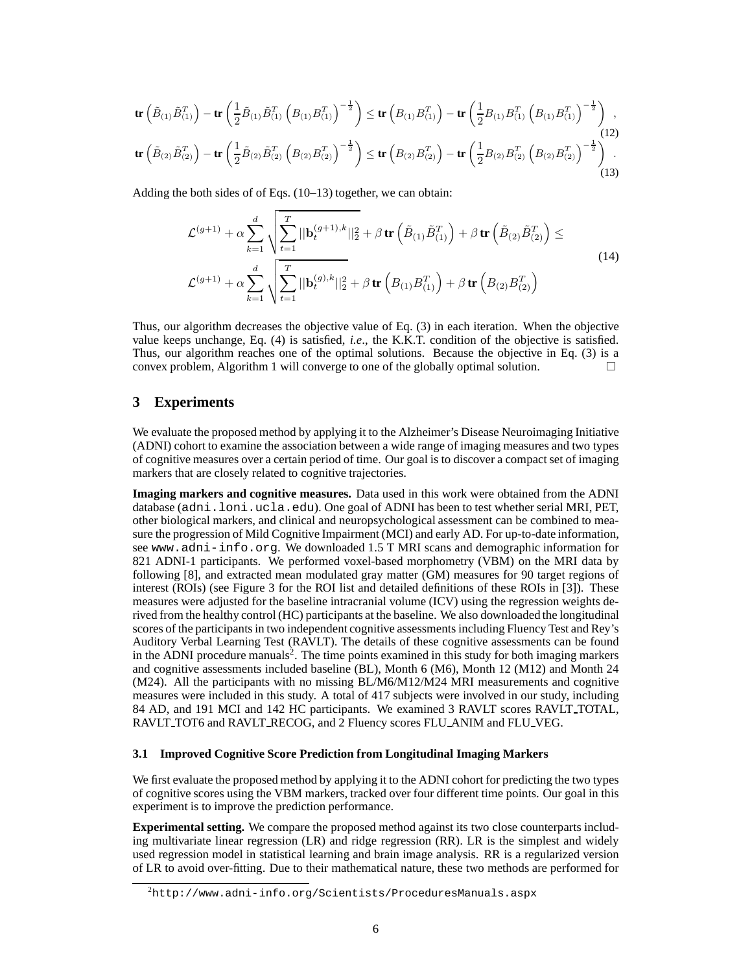$$
\mathbf{tr}\left(\tilde{B}_{(1)}\tilde{B}_{(1)}^{T}\right) - \mathbf{tr}\left(\frac{1}{2}\tilde{B}_{(1)}\tilde{B}_{(1)}^{T}\left(B_{(1)}B_{(1)}^{T}\right)^{-\frac{1}{2}}\right) \leq \mathbf{tr}\left(B_{(1)}B_{(1)}^{T}\right) - \mathbf{tr}\left(\frac{1}{2}B_{(1)}B_{(1)}^{T}\left(B_{(1)}B_{(1)}^{T}\right)^{-\frac{1}{2}}\right),
$$
\n(12)\n
$$
\mathbf{tr}\left(\tilde{B}_{(2)}\tilde{B}_{(2)}^{T}\right) - \mathbf{tr}\left(\frac{1}{2}\tilde{B}_{(2)}\tilde{B}_{(2)}^{T}\left(B_{(2)}B_{(2)}^{T}\right)^{-\frac{1}{2}}\right) \leq \mathbf{tr}\left(B_{(2)}B_{(2)}^{T}\right) - \mathbf{tr}\left(\frac{1}{2}B_{(2)}B_{(2)}^{T}\left(B_{(2)}B_{(2)}^{T}\right)^{-\frac{1}{2}}\right).
$$
\n(13)

Adding the both sides of of Eqs. (10–13) together, we can obtain:

$$
\mathcal{L}^{(g+1)} + \alpha \sum_{k=1}^{d} \sqrt{\sum_{t=1}^{T} ||\mathbf{b}_{t}^{(g+1),k}||_{2}^{2}} + \beta \operatorname{tr} \left( \tilde{B}_{(1)} \tilde{B}_{(1)}^{T} \right) + \beta \operatorname{tr} \left( \tilde{B}_{(2)} \tilde{B}_{(2)}^{T} \right) \le
$$
\n
$$
\mathcal{L}^{(g+1)} + \alpha \sum_{k=1}^{d} \sqrt{\sum_{t=1}^{T} ||\mathbf{b}_{t}^{(g),k}||_{2}^{2}} + \beta \operatorname{tr} \left( B_{(1)} B_{(1)}^{T} \right) + \beta \operatorname{tr} \left( B_{(2)} B_{(2)}^{T} \right)
$$
\n(14)

Thus, our algorithm decreases the objective value of Eq. (3) in each iteration. When the objective value keeps unchange, Eq. (4) is satisfied, *i.e*., the K.K.T. condition of the objective is satisfied. Thus, our algorithm reaches one of the optimal solutions. Because the objective in Eq. (3) is a convex problem, Algorithm 1 will converge to one of the globally optimal solution.  $\Box$ 

# **3 Experiments**

We evaluate the proposed method by applying it to the Alzheimer's Disease Neuroimaging Initiative (ADNI) cohort to examine the association between a wide range of imaging measures and two types of cognitive measures over a certain period of time. Our goal is to discover a compact set of imaging markers that are closely related to cognitive trajectories.

**Imaging markers and cognitive measures.** Data used in this work were obtained from the ADNI database (adni.loni.ucla.edu). One goal of ADNI has been to test whether serial MRI, PET, other biological markers, and clinical and neuropsychological assessment can be combined to measure the progression of Mild Cognitive Impairment (MCI) and early AD. For up-to-date information, see www.adni-info.org. We downloaded 1.5 T MRI scans and demographic information for 821 ADNI-1 participants. We performed voxel-based morphometry (VBM) on the MRI data by following [8], and extracted mean modulated gray matter (GM) measures for 90 target regions of interest (ROIs) (see Figure 3 for the ROI list and detailed definitions of these ROIs in [3]). These measures were adjusted for the baseline intracranial volume (ICV) using the regression weights derived from the healthy control (HC) participants at the baseline. We also downloaded the longitudinal scores of the participants in two independent cognitive assessments including Fluency Test and Rey's Auditory Verbal Learning Test (RAVLT). The details of these cognitive assessments can be found in the ADNI procedure manuals<sup>2</sup>. The time points examined in this study for both imaging markers and cognitive assessments included baseline (BL), Month 6 (M6), Month 12 (M12) and Month 24 (M24). All the participants with no missing BL/M6/M12/M24 MRI measurements and cognitive measures were included in this study. A total of 417 subjects were involved in our study, including 84 AD, and 191 MCI and 142 HC participants. We examined 3 RAVLT scores RAVLT TOTAL, RAVLT TOT6 and RAVLT RECOG, and 2 Fluency scores FLU ANIM and FLU VEG.

## **3.1 Improved Cognitive Score Prediction from Longitudinal Imaging Markers**

We first evaluate the proposed method by applying it to the ADNI cohort for predicting the two types of cognitive scores using the VBM markers, tracked over four different time points. Our goal in this experiment is to improve the prediction performance.

**Experimental setting.** We compare the proposed method against its two close counterparts including multivariate linear regression (LR) and ridge regression (RR). LR is the simplest and widely used regression model in statistical learning and brain image analysis. RR is a regularized version of LR to avoid over-fitting. Due to their mathematical nature, these two methods are performed for

 $2$ http://www.adni-info.org/Scientists/ProceduresManuals.aspx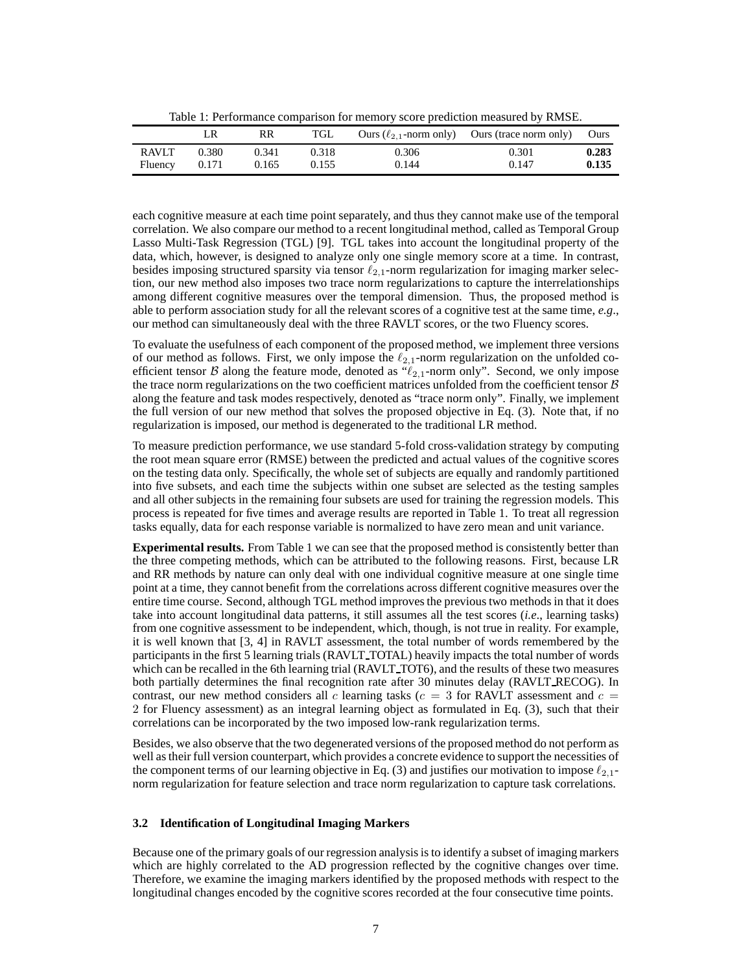Table 1: Performance comparison for memory score prediction measured by RMSE.

|                         | LR             | RR             | TGL            |                | Ours $(\ell_{2,1}$ -norm only) Ours (trace norm only) | Ours           |
|-------------------------|----------------|----------------|----------------|----------------|-------------------------------------------------------|----------------|
| <b>RAVLT</b><br>Fluency | 0.380<br>0.171 | 0.341<br>0.165 | 0.318<br>0.155 | 0.306<br>0.144 | 0.301<br>0.147                                        | 0.283<br>0.135 |
|                         |                |                |                |                |                                                       |                |

each cognitive measure at each time point separately, and thus they cannot make use of the temporal correlation. We also compare our method to a recent longitudinal method, called as Temporal Group Lasso Multi-Task Regression (TGL) [9]. TGL takes into account the longitudinal property of the data, which, however, is designed to analyze only one single memory score at a time. In contrast, besides imposing structured sparsity via tensor  $\ell_{2,1}$ -norm regularization for imaging marker selection, our new method also imposes two trace norm regularizations to capture the interrelationships among different cognitive measures over the temporal dimension. Thus, the proposed method is able to perform association study for all the relevant scores of a cognitive test at the same time, *e.g*., our method can simultaneously deal with the three RAVLT scores, or the two Fluency scores.

To evaluate the usefulness of each component of the proposed method, we implement three versions of our method as follows. First, we only impose the  $\ell_{2,1}$ -norm regularization on the unfolded coefficient tensor B along the feature mode, denoted as " $\ell_{2,1}$ -norm only". Second, we only impose the trace norm regularizations on the two coefficient matrices unfolded from the coefficient tensor  $\beta$ along the feature and task modes respectively, denoted as "trace norm only". Finally, we implement the full version of our new method that solves the proposed objective in Eq. (3). Note that, if no regularization is imposed, our method is degenerated to the traditional LR method.

To measure prediction performance, we use standard 5-fold cross-validation strategy by computing the root mean square error (RMSE) between the predicted and actual values of the cognitive scores on the testing data only. Specifically, the whole set of subjects are equally and randomly partitioned into five subsets, and each time the subjects within one subset are selected as the testing samples and all other subjects in the remaining four subsets are used for training the regression models. This process is repeated for five times and average results are reported in Table 1. To treat all regression tasks equally, data for each response variable is normalized to have zero mean and unit variance.

**Experimental results.** From Table 1 we can see that the proposed method is consistently better than the three competing methods, which can be attributed to the following reasons. First, because LR and RR methods by nature can only deal with one individual cognitive measure at one single time point at a time, they cannot benefit from the correlations across different cognitive measures over the entire time course. Second, although TGL method improves the previous two methods in that it does take into account longitudinal data patterns, it still assumes all the test scores (*i.e*., learning tasks) from one cognitive assessment to be independent, which, though, is not true in reality. For example, it is well known that [3, 4] in RAVLT assessment, the total number of words remembered by the participants in the first 5 learning trials (RAVLT TOTAL) heavily impacts the total number of words which can be recalled in the 6th learning trial (RAVLT\_TOT6), and the results of these two measures both partially determines the final recognition rate after 30 minutes delay (RAVLT\_RECOG). In contrast, our new method considers all c learning tasks ( $c = 3$  for RAVLT assessment and  $c =$ 2 for Fluency assessment) as an integral learning object as formulated in Eq. (3), such that their correlations can be incorporated by the two imposed low-rank regularization terms.

Besides, we also observe that the two degenerated versions of the proposed method do not perform as well as their full version counterpart, which provides a concrete evidence to support the necessities of the component terms of our learning objective in Eq. (3) and justifies our motivation to impose  $\ell_{2,1}$ norm regularization for feature selection and trace norm regularization to capture task correlations.

## **3.2 Identification of Longitudinal Imaging Markers**

Because one of the primary goals of our regression analysis is to identify a subset of imaging markers which are highly correlated to the AD progression reflected by the cognitive changes over time. Therefore, we examine the imaging markers identified by the proposed methods with respect to the longitudinal changes encoded by the cognitive scores recorded at the four consecutive time points.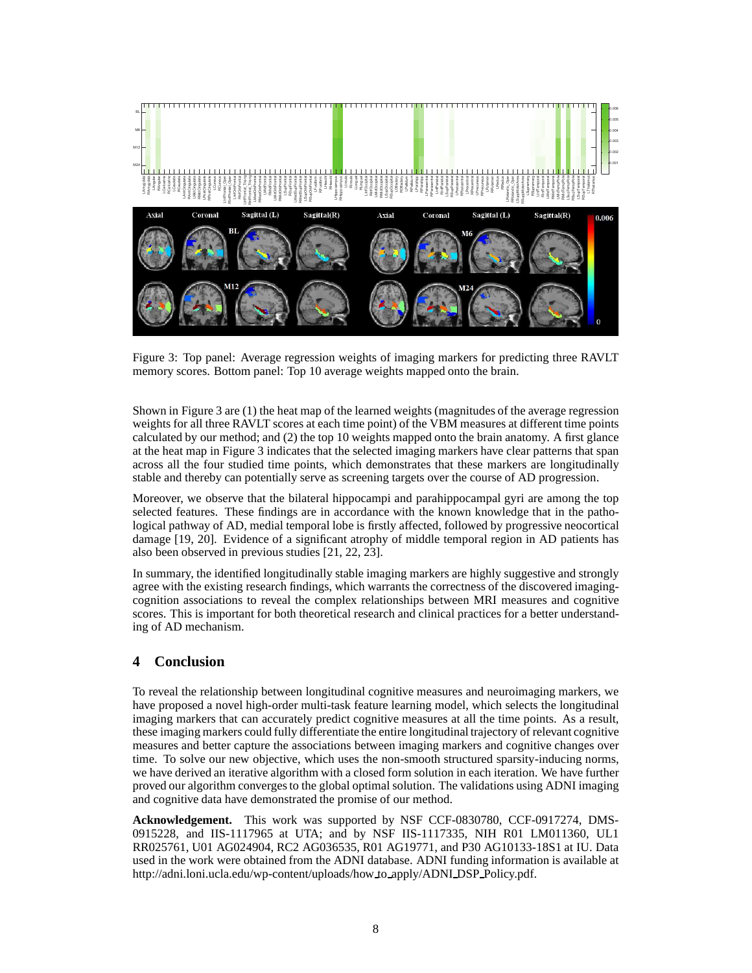

Figure 3: Top panel: Average regression weights of imaging markers for predicting three RAVLT memory scores. Bottom panel: Top 10 average weights mapped onto the brain.

Shown in Figure 3 are (1) the heat map of the learned weights (magnitudes of the average regression weights for all three RAVLT scores at each time point) of the VBM measures at different time points calculated by our method; and (2) the top 10 weights mapped onto the brain anatomy. A first glance at the heat map in Figure 3 indicates that the selected imaging markers have clear patterns that span across all the four studied time points, which demonstrates that these markers are longitudinally stable and thereby can potentially serve as screening targets over the course of AD progression.

Moreover, we observe that the bilateral hippocampi and parahippocampal gyri are among the top selected features. These findings are in accordance with the known knowledge that in the pathological pathway of AD, medial temporal lobe is firstly affected, followed by progressive neocortical damage [19, 20]. Evidence of a significant atrophy of middle temporal region in AD patients has also been observed in previous studies [21, 22, 23].

In summary, the identified longitudinally stable imaging markers are highly suggestive and strongly agree with the existing research findings, which warrants the correctness of the discovered imagingcognition associations to reveal the complex relationships between MRI measures and cognitive scores. This is important for both theoretical research and clinical practices for a better understanding of AD mechanism.

# **4 Conclusion**

To reveal the relationship between longitudinal cognitive measures and neuroimaging markers, we have proposed a novel high-order multi-task feature learning model, which selects the longitudinal imaging markers that can accurately predict cognitive measures at all the time points. As a result, these imaging markers could fully differentiate the entire longitudinal trajectory of relevant cognitive measures and better capture the associations between imaging markers and cognitive changes over time. To solve our new objective, which uses the non-smooth structured sparsity-inducing norms, we have derived an iterative algorithm with a closed form solution in each iteration. We have further proved our algorithm converges to the global optimal solution. The validations using ADNI imaging and cognitive data have demonstrated the promise of our method.

**Acknowledgement.** This work was supported by NSF CCF-0830780, CCF-0917274, DMS-0915228, and IIS-1117965 at UTA; and by NSF IIS-1117335, NIH R01 LM011360, UL1 RR025761, U01 AG024904, RC2 AG036535, R01 AG19771, and P30 AG10133-18S1 at IU. Data used in the work were obtained from the ADNI database. ADNI funding information is available at http://adni.loni.ucla.edu/wp-content/uploads/how to apply/ADNI DSP Policy.pdf.